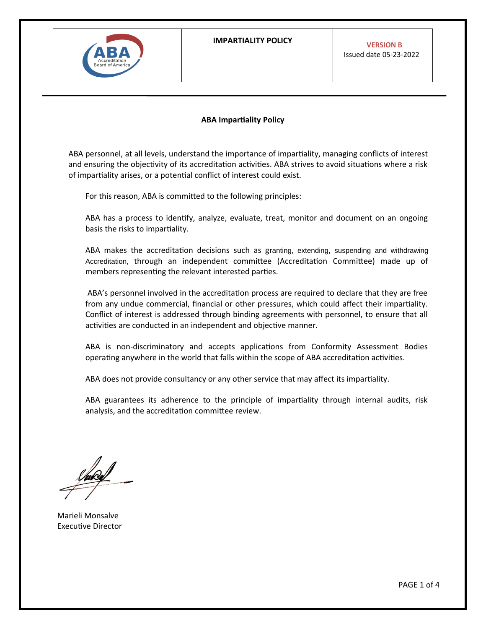

## **ABA Impartiality Policy**

ABA personnel, at all levels, understand the importance of impartiality, managing conflicts of interest and ensuring the objectivity of its accreditation activities. ABA strives to avoid situations where a risk of impartiality arises, or a potential conflict of interest could exist.

For this reason, ABA is committed to the following principles:

ABA has a process to identify, analyze, evaluate, treat, monitor and document on an ongoing basis the risks to impartiality.

ABA makes the accreditation decisions such as granting, extending, suspending and withdrawing Accreditation, through an independent committee (Accreditation Committee) made up of members representing the relevant interested parties.

 ABA's personnel involved in the accreditation process are required to declare that they are free from any undue commercial, financial or other pressures, which could affect their impartiality. Conflict of interest is addressed through binding agreements with personnel, to ensure that all activities are conducted in an independent and objective manner.

ABA is non-discriminatory and accepts applications from Conformity Assessment Bodies operating anywhere in the world that falls within the scope of ABA accreditation activities.

ABA does not provide consultancy or any other service that may affect its impartiality.

ABA guarantees its adherence to the principle of impartiality through internal audits, risk analysis, and the accreditation committee review.

Marieli Monsalve Executive Director

PAGE 1 of 4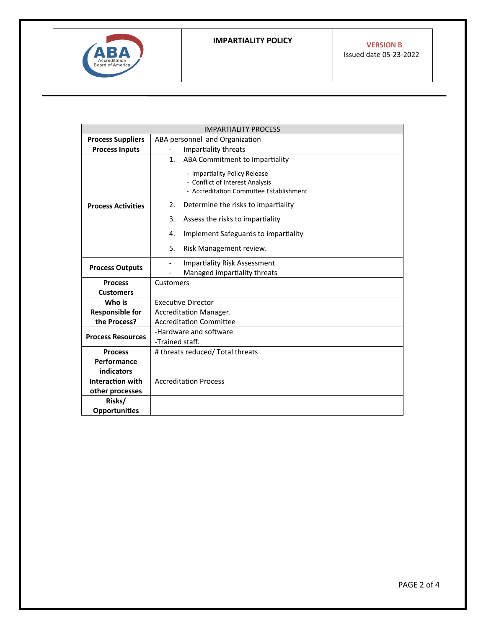

| <b>IMPARTIALITY PROCESS</b> |                                                                                                                                                     |  |  |  |  |
|-----------------------------|-----------------------------------------------------------------------------------------------------------------------------------------------------|--|--|--|--|
| <b>Process Suppliers</b>    | ABA personnel and Organization                                                                                                                      |  |  |  |  |
| <b>Process Inputs</b>       | Impartiality threats<br>$\overline{\phantom{0}}$                                                                                                    |  |  |  |  |
|                             | ABA Commitment to Impartiality<br>1.<br>- Impartiality Policy Release<br>- Conflict of Interest Analysis<br>- Accreditation Committee Establishment |  |  |  |  |
| <b>Process Activities</b>   | 2.<br>Determine the risks to impartiality                                                                                                           |  |  |  |  |
|                             | 3.<br>Assess the risks to impartiality                                                                                                              |  |  |  |  |
|                             | Implement Safeguards to impartiality<br>4.                                                                                                          |  |  |  |  |
|                             | 5.<br>Risk Management review.                                                                                                                       |  |  |  |  |
| <b>Process Outputs</b>      | <b>Impartiality Risk Assessment</b>                                                                                                                 |  |  |  |  |
|                             | Managed impartiality threats                                                                                                                        |  |  |  |  |
| <b>Process</b>              | Customers                                                                                                                                           |  |  |  |  |
| <b>Customers</b>            |                                                                                                                                                     |  |  |  |  |
| Who is                      | <b>Executive Director</b>                                                                                                                           |  |  |  |  |
| <b>Responsible for</b>      | Accreditation Manager.                                                                                                                              |  |  |  |  |
| the Process?                | <b>Accreditation Committee</b>                                                                                                                      |  |  |  |  |
| <b>Process Resources</b>    | -Hardware and software                                                                                                                              |  |  |  |  |
|                             | -Trained staff.                                                                                                                                     |  |  |  |  |
| <b>Process</b>              | # threats reduced/ Total threats                                                                                                                    |  |  |  |  |
| Performance                 |                                                                                                                                                     |  |  |  |  |
| indicators                  |                                                                                                                                                     |  |  |  |  |
| Interaction with            | <b>Accreditation Process</b>                                                                                                                        |  |  |  |  |
| other processes             |                                                                                                                                                     |  |  |  |  |
| Risks/                      |                                                                                                                                                     |  |  |  |  |
| <b>Opportunities</b>        |                                                                                                                                                     |  |  |  |  |

PAGE 2 of 4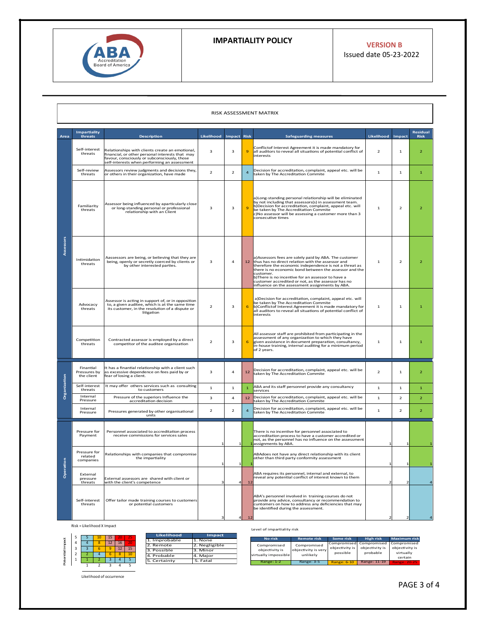

## **IMPARTIALITY POLICY VERSION B**

Issued date 05-23-2022

| RISK ASSESSMENT MATRIX |                                         |                                                                                                                                                                                                    |                         |                           |                |                                                                                                                                                                                                                                                                                                                                                                                                            |                          |                |                |
|------------------------|-----------------------------------------|----------------------------------------------------------------------------------------------------------------------------------------------------------------------------------------------------|-------------------------|---------------------------|----------------|------------------------------------------------------------------------------------------------------------------------------------------------------------------------------------------------------------------------------------------------------------------------------------------------------------------------------------------------------------------------------------------------------------|--------------------------|----------------|----------------|
| Area                   | Impartiality<br>threats                 | Likelihood<br><b>Description</b><br>Impact<br><b>Risk</b><br><b>Safeguarding measures</b>                                                                                                          |                         | Likelihood                | <b>Impact</b>  | Residual<br><b>Risk</b>                                                                                                                                                                                                                                                                                                                                                                                    |                          |                |                |
|                        | Self-interest<br>threats                | Relationships with clients create an emotional,<br>financial, or other personal interests that may<br>favour, consciously or subconsciously, those<br>self-interests when performing an assessment | 3                       | $\overline{\mathbf{3}}$   | $\mathbf{q}$   | Conflictof Interest Agreement it is made mandatory for<br>all auditors to reveal all situations of potential conflict of<br>interests                                                                                                                                                                                                                                                                      | $\overline{z}$           | $\mathbf{1}$   | $\overline{z}$ |
|                        | Self-review<br>threats                  | Assessors review judgments and decisions they,<br>or others in their organization, have made                                                                                                       | $\overline{z}$          | $\overline{z}$            | $\overline{a}$ | Decision for accreditation, complaint, appeal etc. will be<br>taken by The Accreditation Commite                                                                                                                                                                                                                                                                                                           | $\mathbf{1}$             | $\mathbf{1}$   | $\mathbf{1}$   |
|                        | Familiarity<br>threats                  | Assessor being influenced by aparticularly close<br>or long-standing personal or professional<br>relationship with an Client                                                                       | $\overline{\mathbf{3}}$ | $\ensuremath{\mathsf{3}}$ | $\overline{9}$ | a)Long-standing personal relationship will be eliminated<br>by not including that assessors(s) in assessment team.<br>b)Decision for accreditation, complaint, appeal etc. will<br>be taken by The Accreditation Commite<br>c)No assessor will be assessing a customer more than 3<br>consecutive times                                                                                                    | $\mathbf{1}$             | $\overline{2}$ | $\mathbf 2$    |
| Assessors              | Intimidation<br>threats                 | Aassessors are being, or believing that they are<br>being, openly or secretly coerced by clients or<br>by other interested parties.                                                                | 3                       | $\overline{a}$            | 12             | a) Assessors fees are solely paid by ABA. The customer<br>thus has no direct relation with the assessor and<br>therefore the economic independence is not a threat as<br>there is no economic bond between the assessor and the<br>customer.<br>b)There is no incentive for an assessor to have a<br>customer accredited or not, as the assessor has no<br>influence on the assessment assignments by ABA. | $\mathbf{1}$             | $\overline{z}$ | $\overline{2}$ |
|                        | Advocacy<br>threats                     | Assessor is acting in support of, or in opposition<br>to, a given auditee, which is at the same time<br>its customer, in the resolution of a dispute or<br>litigation                              | $\overline{2}$          | $\overline{\mathbf{3}}$   | 6              | a)Decision for accreditation, complaint, appeal etc. will<br>be taken by The Accreditation Commite<br>b)Conflictof Interest Agreement it is made mandatory for<br>all auditors to reveal all situations of potential conflict of<br>interests                                                                                                                                                              | $\mathbf{1}$             | $\mathbf{1}$   | $\mathbf{1}$   |
|                        | Competition<br>threats                  | Contracted assessor is employed by a direct<br>competitor of the auditee organization                                                                                                              | $\overline{2}$          | $\overline{\mathbf{3}}$   | 6              | All assessor staff are prohibited from participating in the<br>assessment of any organization to which they have<br>given assistance in document preparation, consultancy,<br>in-house training, internal auditing for a minimum period<br>of 2 years.                                                                                                                                                     | 1                        | $\mathbf{1}$   | $\mathbf{1}$   |
|                        | Finantial<br>Pressures by<br>the client | It has a finantial relationship with a client such<br>as excessive dependence on fees paid by or<br>fear of losing a client.                                                                       | $\overline{\mathbf{3}}$ | $\overline{4}$            | 12             | Decision for accreditation, complaint, appeal etc. will be<br>taken by The Accreditation Commite                                                                                                                                                                                                                                                                                                           | $\mathbf 2$              | $\mathbf{1}$   | $\overline{2}$ |
| Organization           | Self-interest<br>threats                | It may offer others services such as consulting<br>to customers                                                                                                                                    | 1                       | 1                         | $\mathbf{1}$   | ABA and its staff personnel provide any consultancy<br>services                                                                                                                                                                                                                                                                                                                                            | $\mathbf{1}$             | 1              | $\mathbf{1}$   |
|                        | Internal<br>Pressure                    | Pressure of the superiors Influence the<br>accreditation decision                                                                                                                                  | $\overline{\mathbf{3}}$ | $\overline{4}$            | 12             | Decision for accreditation, complaint, appeal etc. will be<br>taken by The Accreditation Commite                                                                                                                                                                                                                                                                                                           | $\mathbf{1}$             | $\overline{2}$ | $\overline{2}$ |
|                        | Internal<br>Pressure                    | Pressures generated by other organisational<br>units                                                                                                                                               | $\mathbf 2$             | $\mathbf{2}$              | $\overline{a}$ | Decision for accreditation, complaint, appeal etc. will be<br>taken by The Accreditation Commite                                                                                                                                                                                                                                                                                                           | $\mathbf{1}$             | $\overline{2}$ | $\overline{a}$ |
|                        | Pressure for<br>Payment                 | Personnel associated to accreditation process<br>receive commissions for services sales                                                                                                            |                         |                           |                | There is no incentive for personnel associated to<br>accreditation process to have a customer accredited or<br>not, as the personnel has no influence on the assessment<br>1 assignments by ABA.                                                                                                                                                                                                           |                          |                |                |
|                        | Pressure for<br>related<br>companies    | Relationships with companies that compromise<br>the impartiality                                                                                                                                   |                         |                           |                | ABAdoes not have any direct relationship with its client<br>other than third party conformity assessment                                                                                                                                                                                                                                                                                                   | 1                        |                |                |
| Operation              | External<br>pressure<br>threats         | External assessors are shared with client or<br>with the client's competence                                                                                                                       | 3                       | $\overline{a}$            | 12             | ABA requires its personnel, internal and external, to<br>reveal any potential conflict of interest known to them                                                                                                                                                                                                                                                                                           | $\overline{\phantom{a}}$ |                |                |
|                        | Self-interest<br>threats                | Offer tailor made training courses to customers<br>or potential customers                                                                                                                          | з                       | $\overline{4}$            | 12             | ABA's personnel involved in training courses do not<br>provide any advice, consultancy or recommendation to<br>cuntomers on how to address any deficiencies that may<br>be identified during the assessment.                                                                                                                                                                                               | 2                        |                |                |

## Risk = Likelihood X Impact

|   | 5 | 10 | 15 | 20 |    |
|---|---|----|----|----|----|
| g |   |    | 12 | 16 | 20 |
|   | 3 |    |    | 12 | 15 |
|   | 2 |    |    |    | 10 |
|   |   |    |    |    |    |
|   |   |    |    |    |    |

| Likelihood    | Impact        |
|---------------|---------------|
| 1. Improbable | 1. None       |
| 2. Remote     | 2. Negligible |
| 3. Possible   | 3. Minor      |
| 4. Probable   | 4. Major      |
| 5. Certainty  | 5. Fatal      |
|               |               |

Level of impartiality risk

| No risk                                               | <b>Remote risk</b>                             | Some risk                  | <b>High risk</b>                                                  | <b>Maximum risk</b>                    |
|-------------------------------------------------------|------------------------------------------------|----------------------------|-------------------------------------------------------------------|----------------------------------------|
| Compromised<br>objectivity is<br>virtually impossible | Compromised<br>objectivity is very<br>unlikely | objectivity is<br>possible | Compromised Compromised Compromised<br>objectivity is<br>probable | objectivity is<br>virtually<br>certain |
| Range: 1-2                                            | Range: 3-5                                     | <b>Range: 6-10</b>         | Range: 11-19                                                      | <b>Range: 20-25</b>                    |

Likelihood of occurrence